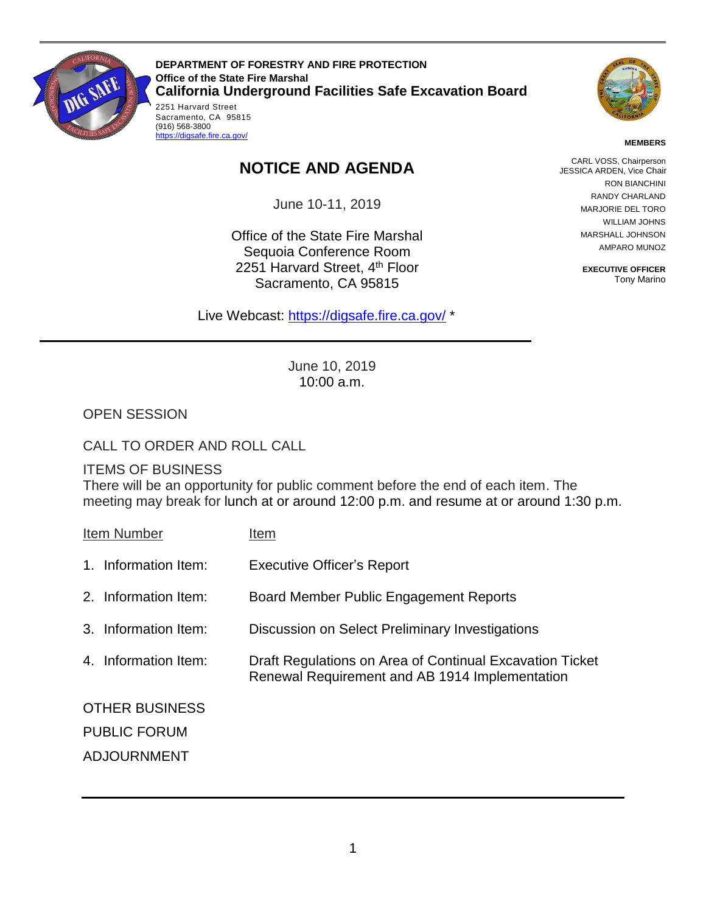

 2251 Harvard Street Sacramento, CA 95815 **DEPARTMENT OF FORESTRY AND FIRE PROTECTION Office of the State Fire Marshal California Underground Facilities Safe Excavation Board** 



#### **MEMBERS**

## **NOTICE AND AGENDA**

June 10-11, 2019

Office of the State Fire Marshal Sequoia Conference Room 2251 Harvard Street, 4<sup>th</sup> Floor Sacramento, CA 95815

Live Webcast: [https://digsafe.fire.ca.gov/](https://global.gotomeeting.com/join/883967957) \*

CARL VOSS, Chairperson JESSICA ARDEN, Vice Chair RON BIANCHINI RANDY CHARLAND MARJORIE DEL TORO WILLIAM JOHNS MARSHALL JOHNSON AMPARO MUNOZ

> **EXECUTIVE OFFICER**  Tony Marino

June 10, 2019 10:00 a.m.

OPEN SESSION

CALL TO ORDER AND ROLL CALL

(916) 568-3800 <https://digsafe.fire.ca.gov/>

### ITEMS OF BUSINESS

There will be an opportunity for public comment before the end of each item. The meeting may break for lunch at or around 12:00 p.m. and resume at or around 1:30 p.m.

| Item Number           | Item                                                                                                       |
|-----------------------|------------------------------------------------------------------------------------------------------------|
| 1. Information Item:  | <b>Executive Officer's Report</b>                                                                          |
| 2. Information Item:  | Board Member Public Engagement Reports                                                                     |
| 3. Information Item:  | Discussion on Select Preliminary Investigations                                                            |
| 4. Information Item:  | Draft Regulations on Area of Continual Excavation Ticket<br>Renewal Requirement and AB 1914 Implementation |
| <b>OTHER BUSINESS</b> |                                                                                                            |
| <b>PUBLIC FORUM</b>   |                                                                                                            |
| <b>ADJOURNMENT</b>    |                                                                                                            |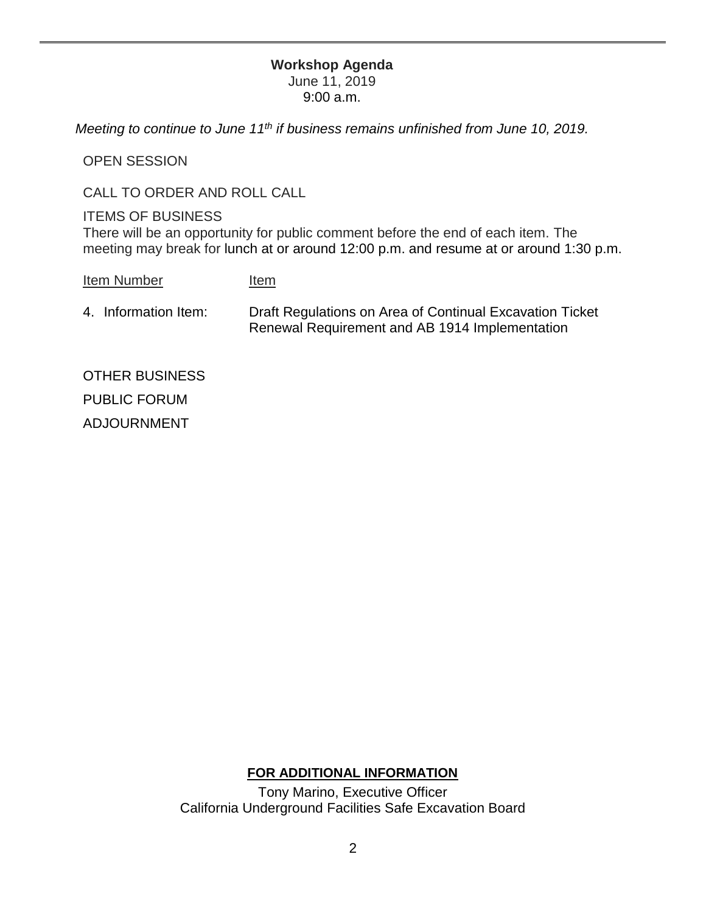# **Workshop Agenda**

June 11, 2019 9:00 a.m.

 *Meeting to continue to June 11th if business remains unfinished from June 10, 2019.* 

OPEN SESSION

CALL TO ORDER AND ROLL CALL

### ITEMS OF BUSINESS

There will be an opportunity for public comment before the end of each item. The meeting may break for lunch at or around 12:00 p.m. and resume at or around 1:30 p.m.

- Item Number Item
- Renewal Requirement and AB 1914 Implementation 4. Information Item: Draft Regulations on Area of Continual Excavation Ticket

OTHER BUSINESS PUBLIC FORUM ADJOURNMENT

### **FOR ADDITIONAL INFORMATION**

 California Underground Facilities Safe Excavation Board Tony Marino, Executive Officer